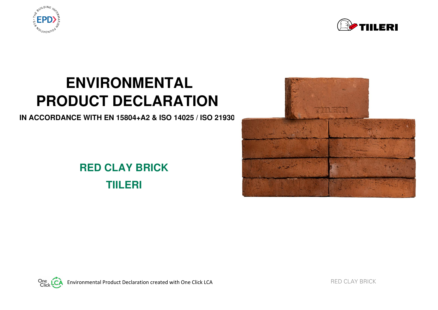



# **ENVIRONMENTAL PRODUCT DECLARATION**

**IN ACCORDANCE WITH EN 15804+A2 & ISO 14025 / ISO 21930** 

# **RED CLAY BRICK TIILERI**



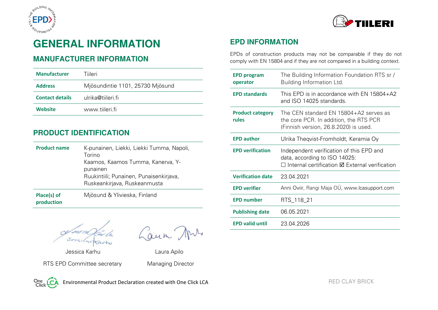



# **GENERAL INFORMATION**

#### **MANUFACTURER INFORMATION**

| <b>Manufacturer</b>    | Tiileri                          |
|------------------------|----------------------------------|
| <b>Address</b>         | Mjösundintie 1101, 25730 Mjösund |
| <b>Contact details</b> | ulrika@tiileri.fi                |
| Website                | www.tiileri.fi                   |

#### **PRODUCT IDENTIFICATION**

| <b>Product name</b> | K-punainen, Liekki, Liekki Tumma, Napoli,<br>Torino<br>Kaamos, Kaamos Tumma, Kanerva, Y-<br>punainen<br>Ruukintiili; Punainen, Punaisenkirjava,<br>Ruskeankirjava, Ruskeanmusta |
|---------------------|---------------------------------------------------------------------------------------------------------------------------------------------------------------------------------|
| Place(s) of         | Mjösund & Ylivieska, Finland                                                                                                                                                    |

**production** 

Laun Ans

 Jessica Karhu Laura Apilo RTS EPD Committee secretary Managing Director

One LC

Environmental Product Declaration created with One Click LCA RED CLAY BRICK RED CLAY BRICK

#### **EPD INFORMATION**

EPDs of construction products may not be comparable if they do not comply with EN 15804 and if they are not compared in a building context.

| <b>EPD program</b><br>operator   | The Building Information Foundation RTS sr /<br>Building Information Ltd.                                                                    |
|----------------------------------|----------------------------------------------------------------------------------------------------------------------------------------------|
| <b>EPD standards</b>             | This EPD is in accordance with EN $15804+A2$<br>and ISO 14025 standards.                                                                     |
| <b>Product category</b><br>rules | The CFN standard FN 15804+A2 serves as<br>the core PCR. In addition, the RTS PCR<br>(Finnish version, 26.8.2020) is used.                    |
| <b>EPD author</b>                | Ulrika Theqvist-Fromholdt, Keramia Oy                                                                                                        |
| <b>EPD verification</b>          | Independent verification of this EPD and<br>data, according to ISO 14025:<br>$\Box$ Internal certification $\boxtimes$ External verification |
| <b>Verification date</b>         | 23.04.2021                                                                                                                                   |
| <b>EPD verifier</b>              | Anni Oviir, Rangi Maja OU, www.lcasupport.com                                                                                                |
| <b>EPD number</b>                | RTS_118_21                                                                                                                                   |
| <b>Publishing date</b>           | 06.05.2021                                                                                                                                   |
| <b>EPD valid until</b>           | 23.04.2026                                                                                                                                   |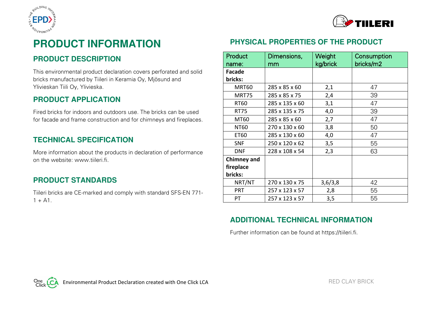



# **PRODUCT INFORMATION**

#### **PRODUCT DESCRIPTION**

This environmental product declaration covers perforated and solid bricks manufactured by Tiileri in Keramia Oy, Mjösund and Ylivieskan Tiili Oy, Ylivieska.

#### **PRODUCT APPLICATION**

Fired bricks for indoors and outdoors use. The bricks can be used for facade and frame construction and for chimneys and fireplaces.

#### **TECHNICAL SPECIFICATION**

More information about the products in declaration of performance on the website: www.tiileri.fi.

#### **PRODUCT STANDARDS**

Tiileri bricks are CE-marked and comply with standard SFS-EN 771-  $1 + A1$ .

### **PHYSICAL PROPERTIES OF THE PRODUCT**

| Product                         | Dimensions,    | Weight   | Consumption |
|---------------------------------|----------------|----------|-------------|
| name:                           | mm             | kg/brick | bricks/m2   |
| <b>Facade</b>                   |                |          |             |
| bricks:                         |                |          |             |
| MRT60                           | 285 x 85 x 60  | 2,1      | 47          |
| MRT75                           | 285 x 85 x 75  | 2,4      | 39          |
| <b>RT60</b>                     | 285 x 135 x 60 | 3,1      | 47          |
| <b>RT75</b>                     | 285 x 135 x 75 | 4,0      | 39          |
| MT60                            | 285 x 85 x 60  | 2,7      | 47          |
| <b>NT60</b>                     | 270 x 130 x 60 | 3,8      | 50          |
| ET60                            | 285 x 130 x 60 | 4,0      | 47          |
| <b>SNF</b>                      | 250 x 120 x 62 | 3,5      | 55          |
| <b>DNF</b>                      | 228 x 108 x 54 | 2,3      | 63          |
| <b>Chimney and</b><br>fireplace |                |          |             |
| bricks:                         |                |          |             |
| NRT/NT                          | 270 x 130 x 75 | 3,6/3,8  | 42          |
| <b>PRT</b>                      | 257 x 123 x 57 | 2,8      | 55          |
| PT                              | 257 x 123 x 57 | 3,5      | 55          |

#### **ADDITIONAL TECHNICAL INFORMATION**

Further information can be found at https://tiileri.fi.

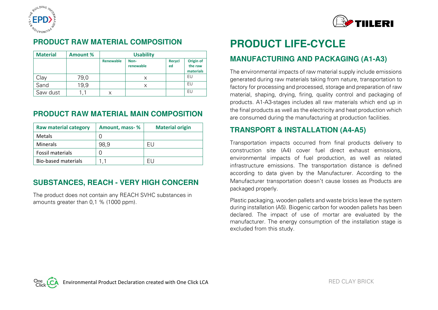



#### **PRODUCT RAW MATERIAL COMPOSITION**

| <b>Material</b> | Amount % |           | <b>Usability</b>  |                     |                                   |
|-----------------|----------|-----------|-------------------|---------------------|-----------------------------------|
|                 |          | Renewable | Non-<br>renewable | <b>Recycl</b><br>ed | Origin of<br>the raw<br>materials |
| Clav            | 79,0     |           | X                 |                     | EU                                |
| Sand            | 19,9     |           | X                 |                     | EU                                |
| Saw dust        |          |           |                   |                     | EU                                |

#### **PRODUCT RAW MATERIAL MAIN COMPOSITION**

| <b>Raw material category</b> | Amount, mass-% | <b>Material origin</b> |
|------------------------------|----------------|------------------------|
| <b>Metals</b>                |                |                        |
| <b>Minerals</b>              | 98.9           | FU                     |
| <b>Fossil materials</b>      |                |                        |
| <b>Bio-based materials</b>   |                |                        |

#### **SUBSTANCES, REACH - VERY HIGH CONCERN**

The product does not contain any REACH SVHC substances in amounts greater than 0,1 % (1000 ppm).

# **PRODUCT LIFE-CYCLE**

#### **MANUFACTURING AND PACKAGING (A1-A3)**

The environmental impacts of raw material supply include emissions generated during raw materials taking from nature, transportation to factory for processing and processed, storage and preparation of raw material, shaping, drying, firing, quality control and packaging of products. A1-A3-stages includes all raw materials which end up in the final products as well as the electricity and heat production which are consumed during the manufacturing at production facilities.

#### **TRANSPORT & INSTALLATION (A4-A5)**

Transportation impacts occurred from final products delivery to construction site (A4) cover fuel direct exhaust emissions, environmental impacts of fuel production, as well as related infrastructure emissions. The transportation distance is defined according to data given by the Manufacturer. According to the Manufacturer transportation doesn't cause losses as Products are packaged properly.

Plastic packaging, wooden pallets and waste bricks leave the system during installation (A5). Biogenic carbon for wooden pallets has been declared. The impact of use of mortar are evaluated by the manufacturer. The energy consumption of the installation stage is excluded from this study.

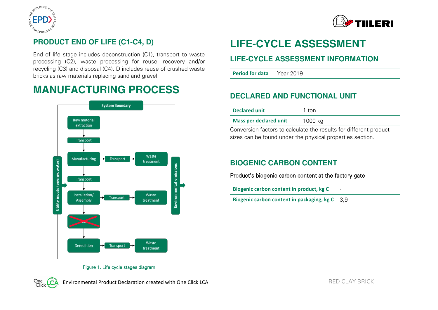



## **PRODUCT END OF LIFE (C1-C4, D)**

End of life stage includes deconstruction (C1), transport to waste processing (C2), waste processing for reuse, recovery and/or recycling (C3) and disposal (C4). D includes reuse of crushed waste bricks as raw materials replacing sand and gravel.

# **MANUFACTURING PROCESS**



# **LIFE-CYCLE ASSESSMENT**

#### **LIFE-CYCLE ASSESSMENT INFORMATION**

**Period for data** Year 2019

## **DECLARED AND FUNCTIONAL UNIT**

| <b>Declared unit</b>          | 1 ton   |
|-------------------------------|---------|
| <b>Mass per declared unit</b> | 1000 kg |

Conversion factors to calculate the results for different product sizes can be found under the physical properties section.

### **BIOGENIC CARBON CONTENT**

Product's biogenic carbon content at the factory gate

**Biogenic carbon content in product, kg C** -

**Biogenic carbon content in packaging, kg C** 3,9

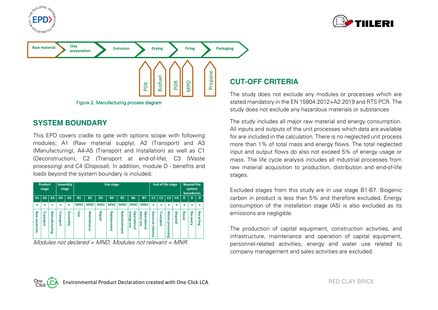





#### **SYSTEM BOUNDARY**

This EPD covers cradle to gate with options scope with following modules; A1 (Raw material supply), A2 (Transport) and A3 (Manufacturing), A4-A5 (Transport and Installation) as well as C1 (Deconstruction), C2 (Transport at end-of-life), C3 (Waste processing) and C4 (Disposal). In addition, module D - benefits and loads beyond the system boundary is included.



```
Modules not declared = MND. Modules not relevant = MNR.
```
#### **CUT-OFF CRITERIA**

The study does not exclude any modules or processes which are stated mandatory in the EN 15804:2012+A2:2019 and RTS PCR. The study does not exclude any hazardous materials or substances

The study includes all major raw material and energy consumption. All inputs and outputs of the unit processes which data are available for are included in the calculation. There is no neglected unit process more than 1% of total mass and energy flows. The total neglected input and output flows do also not exceed 5% of energy usage or mass. The life cycle analysis includes all industrial processes from raw material acquisition to production, distribution and end-of-life stages.

Excluded stages from this study are in use stage B1-B7. Biogenic carbon in product is less than 5% and therefore excluded. Energy consumption of the installation stage (A5) is also excluded as its emissions are negligible.

The production of capital equipment, construction activities, and infrastructure, maintenance and operation of capital equipment, personnel-related activities, energy and water use related to company management and sales activities are excluded.

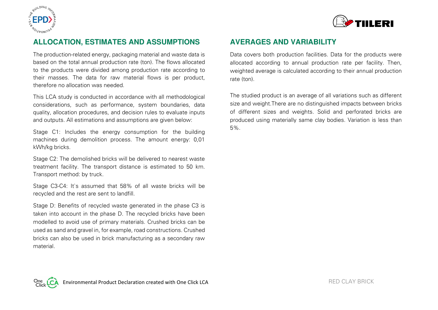



#### **ALLOCATION, ESTIMATES AND ASSUMPTIONS**

The production-related energy, packaging material and waste data is based on the total annual production rate (ton). The flows allocated to the products were divided among production rate according to their masses. The data for raw material flows is per product, therefore no allocation was needed.

This LCA study is conducted in accordance with all methodological considerations, such as performance, system boundaries, data quality, allocation procedures, and decision rules to evaluate inputs and outputs. All estimations and assumptions are given below:

Stage C1: Includes the energy consumption for the building machines during demolition process. The amount energy: 0,01 kWh/kg bricks.

Stage C2: The demolished bricks will be delivered to nearest waste treatment facility. The transport distance is estimated to 50 km. Transport method: by truck.

Stage C3-C4: It`s assumed that 58% of all waste bricks will be recycled and the rest are sent to landfill.

Stage D: Benefits of recycled waste generated in the phase C3 is taken into account in the phase D. The recycled bricks have been modelled to avoid use of primary materials. Crushed bricks can be used as sand and gravel in, for example, road constructions. Crushed bricks can also be used in brick manufacturing as a secondary raw material.

#### **AVERAGES AND VARIABILITY**

Data covers both production facilities. Data for the products were allocated according to annual production rate per facility. Then, weighted average is calculated according to their annual production rate (ton).

The studied product is an average of all variations such as different size and weight.There are no distinguished impacts between bricks of different sizes and weights. Solid and perforated bricks are produced using materially same clay bodies. Variation is less than 5%.

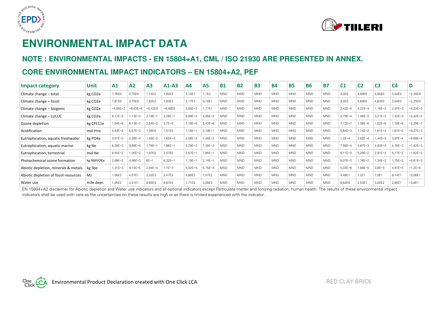



# **ENVIRONMENTAL IMPACT DATA**

### **NOTE : ENVIRONMENTAL IMPACTS - EN 15804+A1, CML / ISO 21930 ARE PRESENTED IN ANNEX.**

### **CORE ENVIRONMENTAL IMPACT INDICATORS – EN 15804+A2, PEF**

| Impact category                       | Unit      | A <sub>1</sub> | A2         | A <sub>3</sub> | $A1-A3$   | A4        | <b>A5</b> | <b>B1</b>  | <b>B2</b>  | <b>B3</b>  | <b>B4</b>  | <b>B5</b>  | <b>B6</b>  | <b>B7</b>  | C1        | C <sub>2</sub> | C <sub>3</sub> | C <sub>4</sub> | D          |
|---------------------------------------|-----------|----------------|------------|----------------|-----------|-----------|-----------|------------|------------|------------|------------|------------|------------|------------|-----------|----------------|----------------|----------------|------------|
| Climate change - total                | kg CO2e   | 7,76E0         | 2.75EC     | ,74E2          | 1,84E2    | 3,14E1    | 1,1E2     | <b>MND</b> | <b>MND</b> | <b>MND</b> | <b>MND</b> | <b>MND</b> | <b>MND</b> | <b>MND</b> | 3,3E0     | 4,69E0         | 4,85E0         | 3,54E0         | $-2,26E0$  |
| Climate change - fossil               | kg CO2e   | 7,81E0         | 2,75E0     | 82E2           | 1,93E2    | 3,17E1    | 9,18E1    | <b>MND</b> | <b>MND</b> | <b>MND</b> | <b>MND</b> | <b>MND</b> | <b>MND</b> | <b>MND</b> | 3,3E0     | 4,69E0         | 4,83E0         | 3,54E0         | $-2,25E0$  |
| Climate change - biogenic             | kg CO2e   | $-5,65E-2$     | $-8,83E-4$ | $-8,42E0$      | $-8,48E0$ | $2,85E-3$ | 1.77E1    | <b>MND</b> | <b>MND</b> | <b>MND</b> | <b>MND</b> | <b>MND</b> | <b>MND</b> | <b>MND</b> | $2,42E-4$ | $1,22E - 4$    | ,16E-2         | 2,97E-3        | $-4,33E-3$ |
| Climate change - LULUC                | kg CO2e   | $8,12E-3$      | $,13E-3$   | $2,18E-1$      | $2,28E-1$ | $9,89E-3$ | $4,95E-2$ | <b>MND</b> | <b>MND</b> | <b>MND</b> | <b>MND</b> | <b>MND</b> | <b>MND</b> | <b>MND</b> | 2,79E-4   | $,46E-3$       | $3,21E-3$      | 1,42E-3        | $-2,42E-3$ |
| Ozone depletion                       | kg CFC11e | 1,04E-6        | $6,13E-7$  | $3,54E-5$      | $3,7E-5$  | 7,18E-6   | $5,43E-6$ | <b>MND</b> | <b>MND</b> | <b>MND</b> | <b>MND</b> | <b>MND</b> | <b>MND</b> | <b>MND</b> | 7,12E-7   | $,06E - 6$     | $.02E - 6$     | 1,18E-6        | $-2,29E-7$ |
| Acidification                         | mol H+e   | $4,43E-2$      | 6,67E-3    | ,46E0          | 1,51E0    | $,18E-1$  | $3,19E-1$ | <b>MND</b> | <b>MND</b> | <b>MND</b> | <b>MND</b> | <b>MND</b> | <b>MND</b> | <b>MND</b> | $5,64E-3$ | ,74E-2         | $1,61E-2$      | $1,81E-2$      | $-9,07E-3$ |
| Eutrophication, aquatic freshwater    | kg PO4e   | $3,51E-3$      | 2,28E-4    | $,45E-2$       | 1,82E-2   | $2,58E-3$ | 1,48E-2   | <b>MND</b> | <b>MND</b> | <b>MND</b> | <b>MND</b> | <b>MND</b> | <b>MND</b> | <b>MND</b> | $1,2E-4$  | $3,82E-4$      | $.44E - 3$     | 3,97E-4        | $-6,69E-4$ |
| Eutrophication, aquatic marine        | kg Ne     | $6,29E-3$      | 9,88E-4    | ,78E-1         | 1,86E-1   | $3,29E-2$ | 7,35E-2   | <b>MND</b> | <b>MND</b> | <b>MND</b> | <b>MND</b> | <b>MND</b> | <b>MND</b> | <b>MND</b> | 7,58E-4   | $4,87E-3$      | $2,83E-3$      | 4,76E-3        | $-1,42E-3$ |
| Eutrophication, terrestrial           | mol Ne    | $8,55E-2$      | 1,05E-2    | .97E0          | 2,07E0    | $3,57E-1$ | $7,85E-1$ | <b>MND</b> | <b>MND</b> | <b>MND</b> | <b>MND</b> | <b>MND</b> | <b>MND</b> | <b>MND</b> | 8,11E-3   | $5,29E-2$      | $2,91E-2$      | $5,17E-2$      | $-1,62E-2$ |
| Photochemical ozone formation         | kg NMVOCe | $2,69E-2$      | 4,96E-3    | $6E-1$         | $6,32E-1$ | $,19E-1$  | $2,14E-1$ | <b>MND</b> | <b>MND</b> | <b>MND</b> | <b>MND</b> | <b>MND</b> | <b>MND</b> | <b>MND</b> | 8,07E-3   | ,76E-2         | $,34E-2$       | 1,75E-2        | $-5,61E-3$ |
| Abiotic depletion, minerals & metals  | kg Sbe    | $1,31E-3$      | $9,14E-5$  | $2,94E - 4$    | $1,7E-3$  | $5,32E-4$ | $5,75E-3$ | <b>MND</b> | <b>MND</b> | <b>MND</b> | <b>MND</b> | <b>MND</b> | <b>MND</b> | <b>MND</b> | $5,03E-6$ | ,88E-5         | $3,8E-5$       | 4,97E-5        | $-1,2E-4$  |
| Abiotic depletion of fossil resources | MJ        | 1,05E2         | 4,07E1     | 2,32E3         | 2,47E3    | 4,86E2    | 7,07E2    | <b>MND</b> | <b>MND</b> | <b>MND</b> | <b>MND</b> | <b>MND</b> | <b>MND</b> | <b>MND</b> | 4,48E     | 7,2E1          | 7,9E1          | 8,14E1         | $-3,06E1$  |
| Water use                             | m3e depr. | 1,05E2         | 4,51E1     | 8,65E4         | 8,67E4    | 1,71E2    | 3,08E3    | <b>MND</b> | <b>MND</b> | <b>MND</b> | <b>MND</b> | <b>MND</b> | <b>MND</b> | <b>MND</b> | 9,62E0    | 2,53E          | 3,02E2         | 2,85E1         | $-3,8E1$   |

EN 15804+A2 disclaimer for Abiotic depletion and Water use indicators and all optional indicators except Particulate matter and Ionizing radiation, human health. The results of these environmental impact indicators shall be used with care as the uncertainties on these results are high or as there is limited experienced with the indicator.

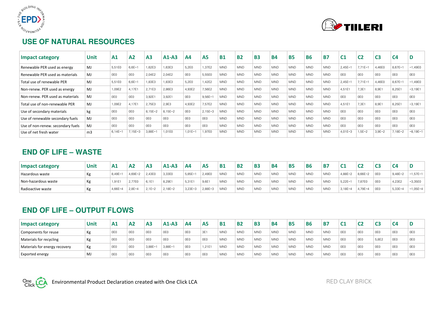



### **USE OF NATURAL RESOURCES**

| Impact category                   | <b>Unit</b> | A <sub>1</sub> | A <sub>2</sub>     | A <sub>3</sub>  | $A1-A3$         | A4        | <b>A5</b> | <b>B1</b>  | <b>B2</b>  | <b>B3</b>  | <b>B4</b>  | <b>B5</b>  | <b>B6</b>  | <b>B7</b>  | C <sub>1</sub>  | C <sub>2</sub>  | C <sub>3</sub> | C <sub>4</sub> | D               |
|-----------------------------------|-------------|----------------|--------------------|-----------------|-----------------|-----------|-----------|------------|------------|------------|------------|------------|------------|------------|-----------------|-----------------|----------------|----------------|-----------------|
| Renewable PER used as energy      | MJ          | 5,51E0         | $6,6E-1$           | 1,62E3          | 1,63E3          | 5,2E0     | 1,37E2    | <b>MND</b> | <b>MND</b> | <b>MND</b> | <b>MND</b> | <b>MND</b> | <b>MND</b> | <b>MND</b> | $2,45E-1$       | $7,71E-1$       | 4,46E0         | 8,67E-1        | $-1,49E0$       |
| Renewable PER used as materials   | MJ          | 0E0            | 0E0                | 2,04E2          | 2,04E2          | 0E0       | 5,55E0    | <b>MND</b> | <b>MND</b> | <b>MND</b> | <b>MND</b> | <b>MND</b> | <b>MND</b> | <b>MND</b> | 0E0             | 0E <sub>0</sub> | 0E0            | OE0            | 0E0             |
| Total use of renewable PER        | MJ          | 5,51E0         | $6,6E-7$           | 1,83E3          | 1,83E3          | 5,2E0     | 1,42E2    | <b>MND</b> | <b>MND</b> | <b>MND</b> | <b>MND</b> | <b>MND</b> | <b>MND</b> | <b>MND</b> | $2,45E-1$       | $7,71E-1$       | 4,46E0         | 8,67E-1        | $-1,49E0$       |
| Non-renew. PER used as energy     | MJ          | 1,09E2         | 4.17E <sup>-</sup> | 2,71E3          | 2,86E3          | 4,93E2    | 7,56E2    | <b>MND</b> | <b>MND</b> | <b>MND</b> | <b>MND</b> | <b>MND</b> | <b>MND</b> | <b>MND</b> | 4,51E1          | 7,3E1           | 8,9E1          | 8,25E1         | $-3,19E1$       |
| Non-renew. PER used as materials  | MJ          | 0E0            | 0E0                | 3,92E1          | 3,92E1          | 0E0       | $9,56E-1$ | <b>MND</b> | <b>MND</b> | <b>MND</b> | <b>MND</b> | <b>MND</b> | <b>MND</b> | <b>MND</b> | 0E0             | 0E0             | 0E0            | OE0            | 0E0             |
| Total use of non-renewable PER    | MJ          | 1,09E2         | 4,17E <sup>-</sup> | 2,75E3          | 2,9E3           | 4,93E2    | 7,57E2    | <b>MND</b> | <b>MND</b> | <b>MND</b> | <b>MND</b> | <b>MND</b> | <b>MND</b> | <b>MND</b> | 4,51E1          | 7,3E1           | 8,9E1          | 8,25E1         | $-3,19E1$       |
| Use of secondary materials        | kg          | 0E0            | 0E0                | 8,15E-2         | $8,15E-2$       | 0E0       | $2,15E-3$ | <b>MND</b> | <b>MND</b> | <b>MND</b> | <b>MND</b> | <b>MND</b> | <b>MND</b> | <b>MND</b> | 0E <sub>0</sub> | 0E0             | 0E0            | OE0            | 0E <sub>0</sub> |
| Use of renewable secondary fuels  | MJ          | 0E0            | 0E0                | 0E <sub>0</sub> | 0E <sub>0</sub> | 0E0       | 0E0       | <b>MND</b> | <b>MND</b> | <b>MND</b> | <b>MND</b> | <b>MND</b> | <b>MND</b> | <b>MND</b> | 0E0             | 0E0             | 0E0            | OE0            | 0E <sub>0</sub> |
| Use of non-renew. secondary fuels | MJ          | 0E0            | 0E0                | OEO             | 0E <sub>0</sub> | 0E0       | 0E0       | <b>MND</b> | <b>MND</b> | <b>MND</b> | <b>MND</b> | <b>MND</b> | <b>MND</b> | <b>MND</b> | 0E <sub>0</sub> | 0E0             | 0E0            | OE0            | 0E <sub>0</sub> |
| Use of net fresh water            | m3          | $6,14E-1$      | 7,15E-3            | $3,88E-1$       | 1,01E0          | $1,01E-1$ | 1,97E0    | <b>MND</b> | <b>MND</b> | <b>MND</b> | <b>MND</b> | <b>MND</b> | <b>MND</b> | <b>MND</b> | $4,01E-3$       | $1,5E-2$        | $3,9E-2$       | 7,18E-2        | $-8,19E-1$      |

#### **END OF LIFE – WASTE**

| Impact category            | Unit | A1                 | A <sub>2</sub> | A <sub>3</sub> | $A1-A3$ | A4        | <b>A5</b> | <b>B1</b>  | <b>B2</b>        | <b>B3</b>  | <b>B4</b>  | <b>B5</b>  | <b>B6</b>  | <b>B7</b>        | ີ           | ∽        | c               | C4        |            |
|----------------------------|------|--------------------|----------------|----------------|---------|-----------|-----------|------------|------------------|------------|------------|------------|------------|------------------|-------------|----------|-----------------|-----------|------------|
| Hazardous waste            |      | 8,49E-             | $4,69E - 2$    | 2,43E0         | 3,33E0  | $5,85E -$ | 2,49E0    | <b>MND</b> | MND              | <b>MND</b> | <b>MND</b> | <b>MND</b> | <b>MND</b> | <sup>1</sup> MND | 4,88E-2     | $8,66E-$ | 0E <sub>0</sub> | $9,48E-2$ | $-1,57E-1$ |
| <b>Non-hazardous waste</b> |      | 1,91E <sup>*</sup> | 2,77E0         | 6.1E           | 8,29E1  | 5,31E     | 9.6E      | ' MND      | MND              | <b>MND</b> | ' MND      | <b>MND</b> | <b>MND</b> | <sup>I</sup> MND | 5,22E-      | 7,87E0   | 0E0             | 4,23E2    | $-3,35E0$  |
| Radioactive waste          |      | $4,66E-4$          | $2,8E-4$       | $2,1E-2$       | 2,18E-2 | $3,23E-3$ | 2,88E-3   | ' MND      | <sup>I</sup> MND | <b>MND</b> | <b>MND</b> | <b>MND</b> | <b>MND</b> | <sup>I</sup> MND | $3,18E - 4$ | 1,79E-4  | 0E0             | $5,33E-4$ | $-1,05E-4$ |

### **END OF LIFE – OUTPUT FLOWS**

| Impact category               | Unit | A1  | A <sub>2</sub> | A <sub>3</sub>  | $A1-A3$          | A4  | A <sub>5</sub> | <b>B1</b>        | <b>B2</b> | <b>B3</b>  | <b>B4</b>        | <b>B5</b>  | <b>B6</b>  | <b>B7</b>        |     |                 | C <sub>3</sub>  | C <sub>4</sub>  |     |
|-------------------------------|------|-----|----------------|-----------------|------------------|-----|----------------|------------------|-----------|------------|------------------|------------|------------|------------------|-----|-----------------|-----------------|-----------------|-----|
| Components for reuse          | Κg   | OEO | 0E0            | 0E <sub>0</sub> | OE0              | OE0 | 3E1            | <b>MND</b>       | MND       | <b>MND</b> | ' MND            | <b>MND</b> | <b>MND</b> | <sup>I</sup> MND | OE0 | 0E <sub>0</sub> | 0E0             | 0E0             | OE0 |
| Materials for recycling       | Кg   | OEO | 0E0            | 0E <sub>0</sub> | OE0              | OE0 | 0E0            | <b>MND</b>       | MND       | <b>MND</b> | MND <sup>1</sup> | <b>MND</b> | <b>MND</b> | MND              | OE0 | 0E <sub>0</sub> | 5,8E2           | 0E <sub>0</sub> | 0E0 |
| Materials for energy recovery | Кg   | OEO | 0E0            | $3,88E-$        | $3,88E-7$        | OE0 | 1.21E1         | ' MND            | MND       | <b>MND</b> | ' MND            | <b>MND</b> | <b>MND</b> | MND              | 0E0 | 0E <sub>0</sub> | 0E0             | 0E <sub>0</sub> | 0E0 |
| Exported energy               | M)   | OEO | 0E0            | 0 <sub>F0</sub> | <sup>1</sup> OEO | OE0 | 0E0            | MND <sup>'</sup> | MND       | <b>MND</b> | ' MND            | <b>MND</b> | <b>MND</b> | MND              | 0E0 | 0E0             | 0E <sub>0</sub> | 0E0             | 0E0 |

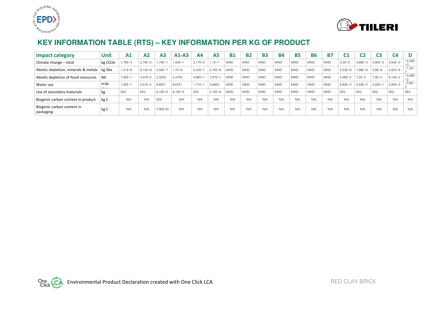



# **KEY INFORMATION TABLE (RTS) – KEY INFORMATION PER KG OF PRODUCT**

| Impact category                         | <b>Unit</b>          | A <sub>1</sub> | A2          | A <sub>3</sub> | $A1-A3$  | A4          | A <sub>5</sub> | <b>B1</b>  | <b>B2</b>  | <b>B3</b>  | <b>B4</b>  | <b>B5</b>  | <b>B6</b>  | <b>B7</b>  | C1        | C <sub>2</sub> | C3              | C <sub>4</sub> |                |
|-----------------------------------------|----------------------|----------------|-------------|----------------|----------|-------------|----------------|------------|------------|------------|------------|------------|------------|------------|-----------|----------------|-----------------|----------------|----------------|
| Climate change - total                  | kg CO <sub>2</sub> e | 7,76E-3        | 2,75E-3     | 74E-1          | $,84E-1$ | $3.17E - 2$ | $.1E-7$        | <b>MND</b> | <b>MND</b> | <b>MND</b> | <b>MND</b> | <b>MND</b> | <b>MND</b> | <b>MND</b> | $3,3E-3$  | $4,69E-3$      | 4,85E-3         | $3,54E-3$      | $-2,26E$<br>-3 |
| Abiotic depletion, minerals & metals    | kg Sbe               | $1,31E-6$      | $9,14E-8$   | $2,94E-7$      | .7E-6    | $5,32E - 7$ | $5,75E-6$      | <b>MND</b> | <b>MND</b> | <b>MND</b> | <b>MND</b> | <b>MND</b> | <b>MND</b> | <b>MND</b> | 5,03E-9   | 7,88E-8        | $3,8E-8$        | $4,97E-8$      | $-1,2E-$       |
| Abiotic depletion of fossil resources   | M.                   | $1,05E-1$      | $4,07E-2$   | 2,32E0         | 2.47E0   | $4,86E-1$   | $7,07E-1$      | <b>MND</b> | <b>MND</b> | <b>MND</b> | <b>MND</b> | <b>MND</b> | <b>MND</b> | <b>MND</b> | 4,48E-2   | $7.2E - 2$     | $7,9E-2$        | $8,14E-2$      | $-3,06E$       |
| Water use                               | m3e                  | $1,05E-1$      | $4.51E - 2$ | 8,65E1         | 8.67E1   | $.71E - 1$  | 3,08E0         | <b>MND</b> | <b>MND</b> | <b>MND</b> | <b>MND</b> | <b>MND</b> | <b>MND</b> | <b>MND</b> | $9,62E-3$ | $2,53E-2$      | $3,02E-1$       | $2,85E-2$      | $-3,8E-$       |
| Use of secondary materials              | kg                   | 0E0            | 0E0         | 8,15E-5        | 8,15E-5  | 0E0         | $2,15E-6$      | <b>MND</b> | <b>MND</b> | <b>MND</b> | <b>MND</b> | <b>MND</b> | <b>MND</b> | <b>MND</b> | OEO       | 0E0            | 0E <sub>0</sub> | 0E0            | OE0            |
| Biogenic carbon content in product      | kg C                 | N/A            | N/A         | 0E0            | N/A      | N/A         | N/A            | N/A        | N/A        | N/A        | N/A        | N/A        | N/A        | N/A        | N/A       | N/A            | N/A             | N/A            | N/A            |
| Biogenic carbon content in<br>packaging | kg C                 | N/A            | N/A         | 3.90E-03       | N/A      | N/A         | N/A            | N/A        | N/A        | N/A        | N/A        | N/A        | N/A        | N/A        | N/A       | N/A            | N/A             | N/A            | N/A            |

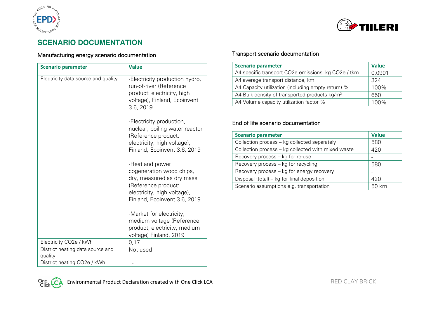



# **SCENARIO DOCUMENTATION**

#### Manufacturing energy scenario documentation

| <b>Scenario parameter</b>           | <b>Value</b>                                                                                                                                                   |
|-------------------------------------|----------------------------------------------------------------------------------------------------------------------------------------------------------------|
| Electricity data source and quality | -Electricity production hydro,<br>run-of-river (Reference<br>product: electricity, high<br>voltage), Finland, Ecoinvent<br>3.6, 2019                           |
|                                     | -Electricity production,<br>nuclear, boiling water reactor<br>(Reference product:<br>electricity, high voltage),<br>Finland, Ecoinvent 3.6, 2019               |
|                                     | -Heat and power<br>cogeneration wood chips,<br>dry, measured as dry mass<br>(Reference product:<br>electricity, high voltage),<br>Finland, Ecoinvent 3.6, 2019 |
|                                     | -Market for electricity,<br>medium voltage (Reference<br>product; electricity, medium<br>voltage) Finland, 2019                                                |
| Electricity CO2e / kWh              | 0,17                                                                                                                                                           |
| District heating data source and    | Not used                                                                                                                                                       |
| quality                             |                                                                                                                                                                |
| District heating CO2e / kWh         |                                                                                                                                                                |

#### Transport scenario documentation

| <b>Scenario parameter</b>                                 | <b>Value</b> |  |  |  |
|-----------------------------------------------------------|--------------|--|--|--|
| A4 specific transport CO2e emissions, kg CO2e / tkm       | 0,0901       |  |  |  |
| A4 average transport distance, km                         | 324          |  |  |  |
| A4 Capacity utilization (including empty return) %        | 100%         |  |  |  |
| A4 Bulk density of transported products kg/m <sup>3</sup> | 650          |  |  |  |
| A4 Volume capacity utilization factor %                   | . በበ%        |  |  |  |

#### End of life scenario documentation

| <b>Scenario parameter</b>                          | <b>Value</b> |  |  |  |
|----------------------------------------------------|--------------|--|--|--|
| Collection process - kg collected separately       | 580          |  |  |  |
| Collection process – kg collected with mixed waste | 420          |  |  |  |
| Recovery process - kg for re-use                   |              |  |  |  |
| Recovery process - kg for recycling                | 580          |  |  |  |
| Recovery process – kg for energy recovery          |              |  |  |  |
| Disposal (total) – kg for final deposition         | 420          |  |  |  |
| Scenario assumptions e.g. transportation           | 50 km        |  |  |  |

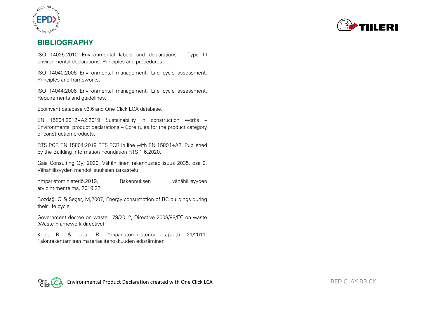



#### **BIBLIOGRAPHY**

ISO 14025:2010 Environmental labels and declarations – Type III environmental declarations. Principles and procedures.

ISO 14040:2006 Environmental management. Life cycle assessment. Principles and frameworks.

ISO 14044:2006 Environmental management. Life cycle assessment. Requirements and guidelines.

Ecoinvent database v3.6 and One Click LCA database.

EN 15804:2012+A2:2019 Sustainability in construction works – Environmental product declarations – Core rules for the product category of construction products.

RTS PCR EN 15804:2019 RTS PCR in line with EN 15804+A2. Published by the Building Information Foundation RTS 1.6.2020.

Gaia Consulting Oy, 2020, Vähähiilinen rakennusteollisuus 2035, osa 2. Vähähiilisyyden mahdollisuuksien tarkastelu

Ympäristöministeriö,2019, Rakennuksen vähähiilisyyden arviointimentelmä, 2019:22

Bozdağ, Ö & Seçer, M,2007, Energy consumption of RC buildings during their life cycle.

Government decree on waste 179/2012, Directive 2008/98/EC on waste (Waste Framework directive)

Kojo, R. & Lilja, R. Ympäristöministeriön raportti 21/2011. Talonrakentamisen materiaalitehokkuuden edistäminen

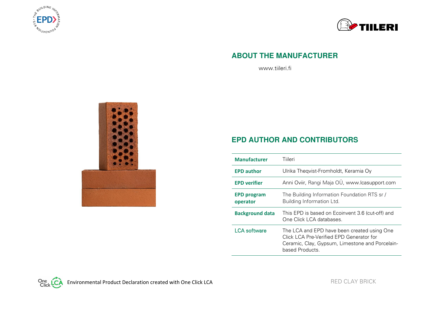



#### **ABOUT THE MANUFACTURER**

www.tiileri.fi



### **EPD AUTHOR AND CONTRIBUTORS**

| <b>Manufacturer</b>            | Tiileri                                                                                                                                                       |
|--------------------------------|---------------------------------------------------------------------------------------------------------------------------------------------------------------|
| <b>EPD author</b>              | Ulrika Thegvist-Fromholdt, Keramia Oy                                                                                                                         |
| <b>EPD verifier</b>            | Anni Oviir, Rangi Maja OÜ, www.lcasupport.com                                                                                                                 |
| <b>EPD program</b><br>operator | The Building Information Foundation RTS sr /<br>Building Information Ltd.                                                                                     |
| <b>Background data</b>         | This EPD is based on Ecoinvent 3.6 (cut-off) and<br>One Click LCA databases.                                                                                  |
| <b>LCA</b> software            | The LCA and EPD have been created using One<br>Click LCA Pre-Verified FPD Generator for<br>Ceramic, Clay, Gypsum, Limestone and Porcelain-<br>based Products. |